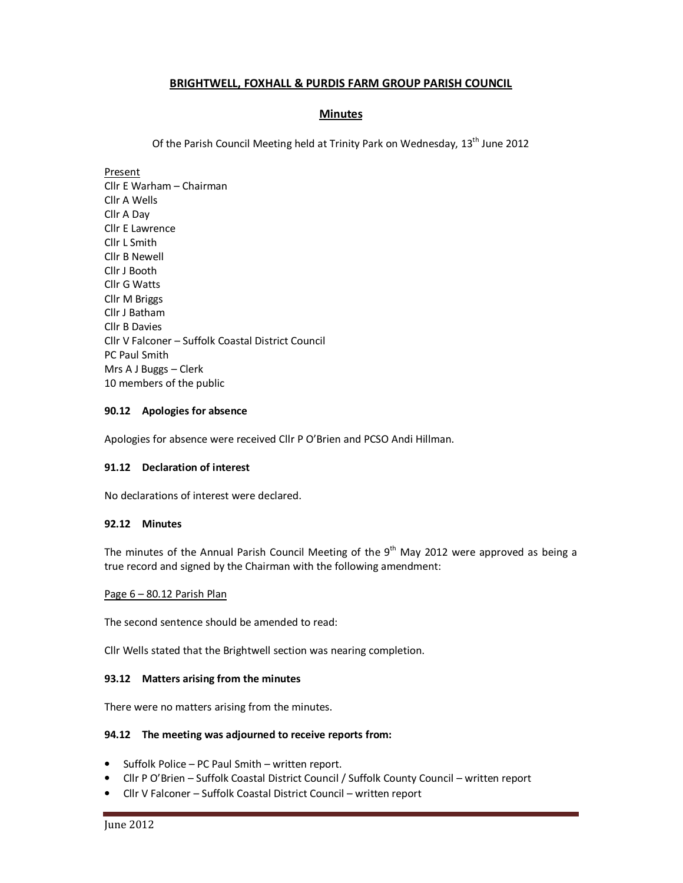# **BRIGHTWELL, FOXHALL & PURDIS FARM GROUP PARISH COUNCIL**

# **Minutes**

Of the Parish Council Meeting held at Trinity Park on Wednesday, 13<sup>th</sup> June 2012

Present Cllr E Warham – Chairman Cllr A Wells Cllr A Day Cllr E Lawrence Cllr L Smith Cllr B Newell Cllr J Booth Cllr G Watts Cllr M Briggs Cllr J Batham Cllr B Davies Cllr V Falconer – Suffolk Coastal District Council PC Paul Smith Mrs A J Buggs – Clerk 10 members of the public

# **90.12 Apologies for absence**

Apologies for absence were received Cllr P O'Brien and PCSO Andi Hillman.

### **91.12 Declaration of interest**

No declarations of interest were declared.

### **92.12 Minutes**

The minutes of the Annual Parish Council Meeting of the  $9<sup>th</sup>$  May 2012 were approved as being a true record and signed by the Chairman with the following amendment:

### Page 6 – 80.12 Parish Plan

The second sentence should be amended to read:

Cllr Wells stated that the Brightwell section was nearing completion.

### **93.12 Matters arising from the minutes**

There were no matters arising from the minutes.

### **94.12 The meeting was adjourned to receive reports from:**

- Suffolk Police PC Paul Smith written report.
- Cllr P O'Brien Suffolk Coastal District Council / Suffolk County Council written report
- Cllr V Falconer Suffolk Coastal District Council written report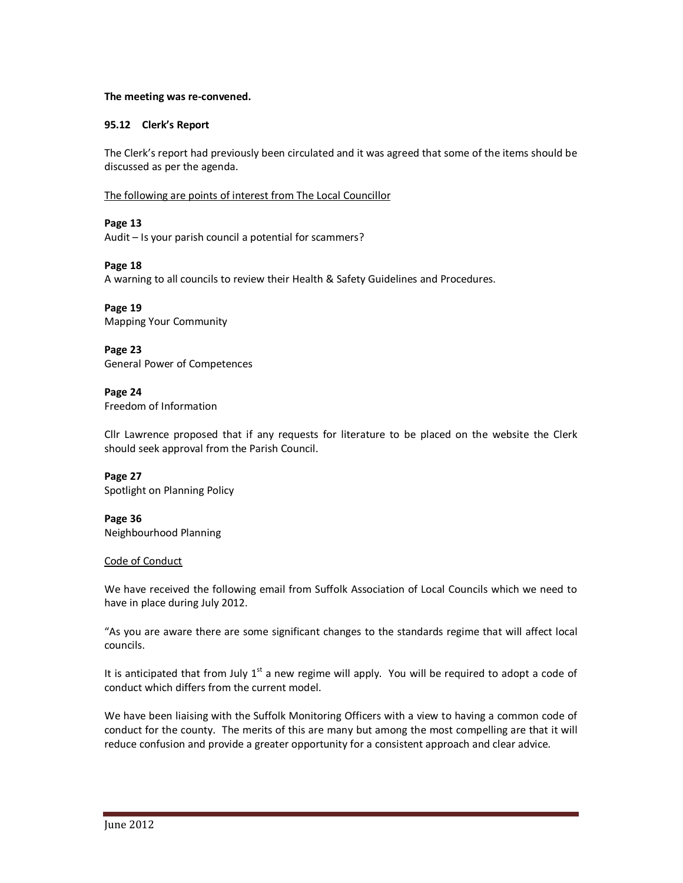### **The meeting was re-convened.**

# **95.12 Clerk's Report**

The Clerk's report had previously been circulated and it was agreed that some of the items should be discussed as per the agenda.

# The following are points of interest from The Local Councillor

# **Page 13**

Audit – Is your parish council a potential for scammers?

# **Page 18**

A warning to all councils to review their Health & Safety Guidelines and Procedures.

**Page 19** Mapping Your Community

**Page 23** General Power of Competences

#### **Page 24** Freedom of Information

Cllr Lawrence proposed that if any requests for literature to be placed on the website the Clerk should seek approval from the Parish Council.

**Page 27**

Spotlight on Planning Policy

**Page 36** Neighbourhood Planning

### Code of Conduct

We have received the following email from Suffolk Association of Local Councils which we need to have in place during July 2012.

"As you are aware there are some significant changes to the standards regime that will affect local councils.

It is anticipated that from July 1<sup>st</sup> a new regime will apply. You will be required to adopt a code of conduct which differs from the current model.

We have been liaising with the Suffolk Monitoring Officers with a view to having a common code of conduct for the county. The merits of this are many but among the most compelling are that it will reduce confusion and provide a greater opportunity for a consistent approach and clear advice.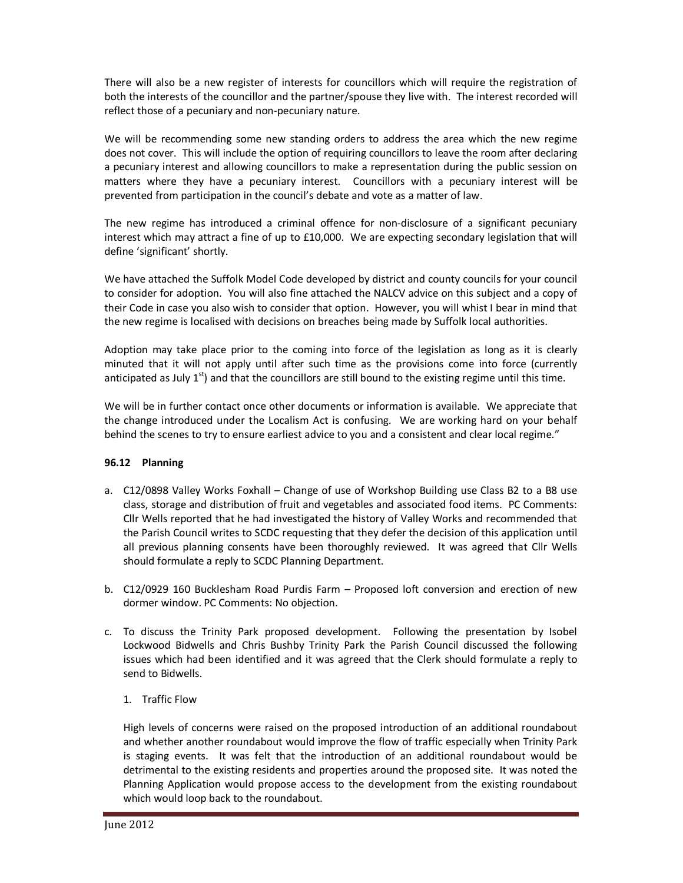There will also be a new register of interests for councillors which will require the registration of both the interests of the councillor and the partner/spouse they live with. The interest recorded will reflect those of a pecuniary and non-pecuniary nature.

We will be recommending some new standing orders to address the area which the new regime does not cover. This will include the option of requiring councillors to leave the room after declaring a pecuniary interest and allowing councillors to make a representation during the public session on matters where they have a pecuniary interest. Councillors with a pecuniary interest will be prevented from participation in the council's debate and vote as a matter of law.

The new regime has introduced a criminal offence for non-disclosure of a significant pecuniary interest which may attract a fine of up to £10,000. We are expecting secondary legislation that will define 'significant' shortly.

We have attached the Suffolk Model Code developed by district and county councils for your council to consider for adoption. You will also fine attached the NALCV advice on this subject and a copy of their Code in case you also wish to consider that option. However, you will whist I bear in mind that the new regime is localised with decisions on breaches being made by Suffolk local authorities.

Adoption may take place prior to the coming into force of the legislation as long as it is clearly minuted that it will not apply until after such time as the provisions come into force (currently anticipated as July  $1<sup>st</sup>$ ) and that the councillors are still bound to the existing regime until this time.

We will be in further contact once other documents or information is available. We appreciate that the change introduced under the Localism Act is confusing. We are working hard on your behalf behind the scenes to try to ensure earliest advice to you and a consistent and clear local regime."

# **96.12 Planning**

- a. C12/0898 Valley Works Foxhall Change of use of Workshop Building use Class B2 to a B8 use class, storage and distribution of fruit and vegetables and associated food items. PC Comments: Cllr Wells reported that he had investigated the history of Valley Works and recommended that the Parish Council writes to SCDC requesting that they defer the decision of this application until all previous planning consents have been thoroughly reviewed. It was agreed that Cllr Wells should formulate a reply to SCDC Planning Department.
- b. C12/0929 160 Bucklesham Road Purdis Farm Proposed loft conversion and erection of new dormer window. PC Comments: No objection.
- c. To discuss the Trinity Park proposed development. Following the presentation by Isobel Lockwood Bidwells and Chris Bushby Trinity Park the Parish Council discussed the following issues which had been identified and it was agreed that the Clerk should formulate a reply to send to Bidwells.

# 1. Traffic Flow

High levels of concerns were raised on the proposed introduction of an additional roundabout and whether another roundabout would improve the flow of traffic especially when Trinity Park is staging events. It was felt that the introduction of an additional roundabout would be detrimental to the existing residents and properties around the proposed site. It was noted the Planning Application would propose access to the development from the existing roundabout which would loop back to the roundabout.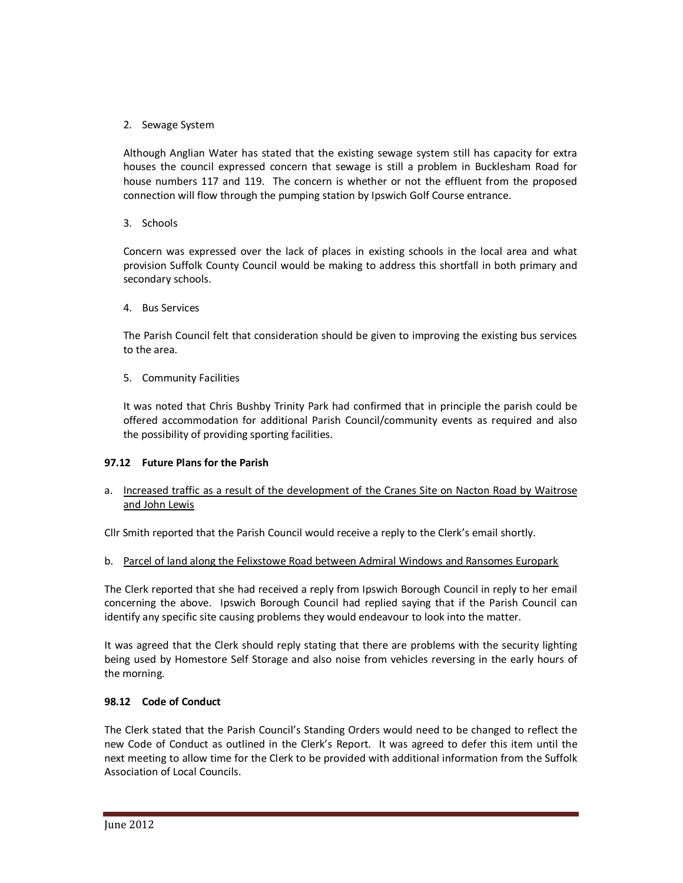# 2. Sewage System

Although Anglian Water has stated that the existing sewage system still has capacity for extra houses the council expressed concern that sewage is still a problem in Bucklesham Road for house numbers 117 and 119. The concern is whether or not the effluent from the proposed connection will flow through the pumping station by Ipswich Golf Course entrance.

3. Schools

Concern was expressed over the lack of places in existing schools in the local area and what provision Suffolk County Council would be making to address this shortfall in both primary and secondary schools.

4. Bus Services

The Parish Council felt that consideration should be given to improving the existing bus services to the area.

5. Community Facilities

It was noted that Chris Bushby Trinity Park had confirmed that in principle the parish could be offered accommodation for additional Parish Council/community events as required and also the possibility of providing sporting facilities.

# **97.12 Future Plans for the Parish**

a. Increased traffic as a result of the development of the Cranes Site on Nacton Road by Waitrose and John Lewis

Cllr Smith reported that the Parish Council would receive a reply to the Clerk's email shortly.

b. Parcel of land along the Felixstowe Road between Admiral Windows and Ransomes Europark

The Clerk reported that she had received a reply from Ipswich Borough Council in reply to her email concerning the above. Ipswich Borough Council had replied saying that if the Parish Council can identify any specific site causing problems they would endeavour to look into the matter.

It was agreed that the Clerk should reply stating that there are problems with the security lighting being used by Homestore Self Storage and also noise from vehicles reversing in the early hours of the morning.

# **98.12 Code of Conduct**

The Clerk stated that the Parish Council's Standing Orders would need to be changed to reflect the new Code of Conduct as outlined in the Clerk's Report. It was agreed to defer this item until the next meeting to allow time for the Clerk to be provided with additional information from the Suffolk Association of Local Councils.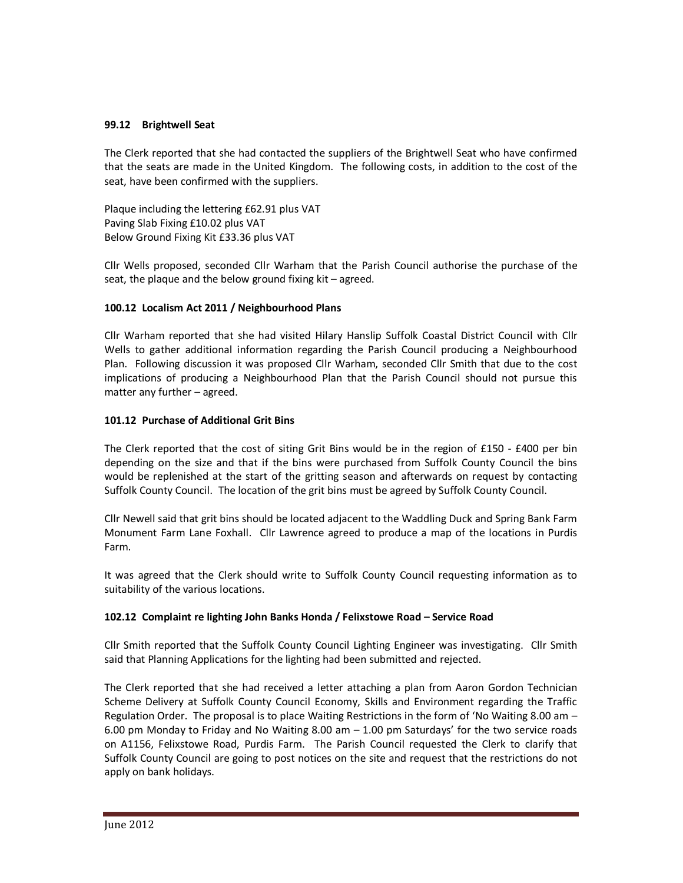# **99.12 Brightwell Seat**

The Clerk reported that she had contacted the suppliers of the Brightwell Seat who have confirmed that the seats are made in the United Kingdom. The following costs, in addition to the cost of the seat, have been confirmed with the suppliers.

Plaque including the lettering £62.91 plus VAT Paving Slab Fixing £10.02 plus VAT Below Ground Fixing Kit £33.36 plus VAT

Cllr Wells proposed, seconded Cllr Warham that the Parish Council authorise the purchase of the seat, the plaque and the below ground fixing kit – agreed.

# **100.12 Localism Act 2011 / Neighbourhood Plans**

Cllr Warham reported that she had visited Hilary Hanslip Suffolk Coastal District Council with Cllr Wells to gather additional information regarding the Parish Council producing a Neighbourhood Plan. Following discussion it was proposed Cllr Warham, seconded Cllr Smith that due to the cost implications of producing a Neighbourhood Plan that the Parish Council should not pursue this matter any further – agreed.

# **101.12 Purchase of Additional Grit Bins**

The Clerk reported that the cost of siting Grit Bins would be in the region of £150 - £400 per bin depending on the size and that if the bins were purchased from Suffolk County Council the bins would be replenished at the start of the gritting season and afterwards on request by contacting Suffolk County Council. The location of the grit bins must be agreed by Suffolk County Council.

Cllr Newell said that grit bins should be located adjacent to the Waddling Duck and Spring Bank Farm Monument Farm Lane Foxhall. Cllr Lawrence agreed to produce a map of the locations in Purdis Farm.

It was agreed that the Clerk should write to Suffolk County Council requesting information as to suitability of the various locations.

### **102.12 Complaint re lighting John Banks Honda / Felixstowe Road – Service Road**

Cllr Smith reported that the Suffolk County Council Lighting Engineer was investigating. Cllr Smith said that Planning Applications for the lighting had been submitted and rejected.

The Clerk reported that she had received a letter attaching a plan from Aaron Gordon Technician Scheme Delivery at Suffolk County Council Economy, Skills and Environment regarding the Traffic Regulation Order. The proposal is to place Waiting Restrictions in the form of 'No Waiting 8.00 am – 6.00 pm Monday to Friday and No Waiting 8.00 am – 1.00 pm Saturdays' for the two service roads on A1156, Felixstowe Road, Purdis Farm. The Parish Council requested the Clerk to clarify that Suffolk County Council are going to post notices on the site and request that the restrictions do not apply on bank holidays.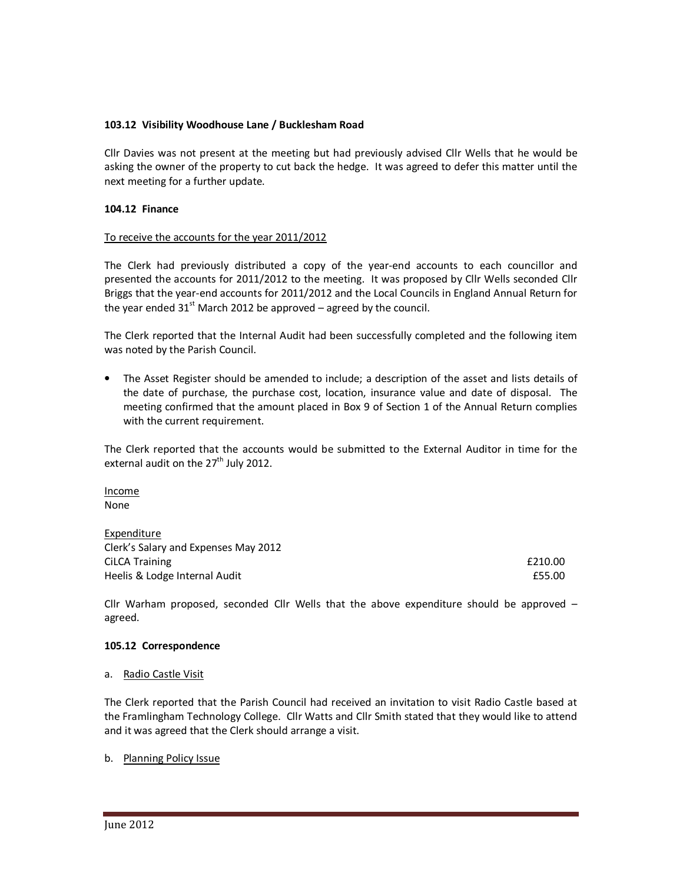# **103.12 Visibility Woodhouse Lane / Bucklesham Road**

Cllr Davies was not present at the meeting but had previously advised Cllr Wells that he would be asking the owner of the property to cut back the hedge. It was agreed to defer this matter until the next meeting for a further update.

### **104.12 Finance**

### To receive the accounts for the year 2011/2012

The Clerk had previously distributed a copy of the year-end accounts to each councillor and presented the accounts for 2011/2012 to the meeting. It was proposed by Cllr Wells seconded Cllr Briggs that the year-end accounts for 2011/2012 and the Local Councils in England Annual Return for the year ended  $31<sup>st</sup>$  March 2012 be approved – agreed by the council.

The Clerk reported that the Internal Audit had been successfully completed and the following item was noted by the Parish Council.

• The Asset Register should be amended to include; a description of the asset and lists details of the date of purchase, the purchase cost, location, insurance value and date of disposal. The meeting confirmed that the amount placed in Box 9 of Section 1 of the Annual Return complies with the current requirement.

The Clerk reported that the accounts would be submitted to the External Auditor in time for the external audit on the  $27<sup>th</sup>$  July 2012.

Income None

Expenditure Clerk's Salary and Expenses May 2012 CiLCA Training **E210.00** Heelis & Lodge Internal Audit **ESS.00 ESS.00** 

Cllr Warham proposed, seconded Cllr Wells that the above expenditure should be approved  $$ agreed.

### **105.12 Correspondence**

### a. Radio Castle Visit

The Clerk reported that the Parish Council had received an invitation to visit Radio Castle based at the Framlingham Technology College. Cllr Watts and Cllr Smith stated that they would like to attend and it was agreed that the Clerk should arrange a visit.

### b. Planning Policy Issue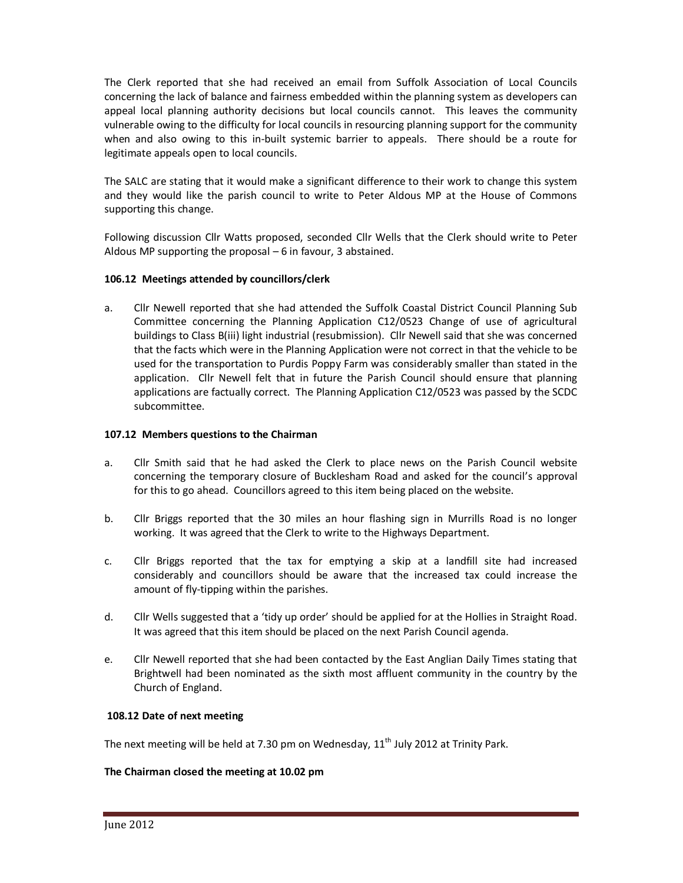The Clerk reported that she had received an email from Suffolk Association of Local Councils concerning the lack of balance and fairness embedded within the planning system as developers can appeal local planning authority decisions but local councils cannot. This leaves the community vulnerable owing to the difficulty for local councils in resourcing planning support for the community when and also owing to this in-built systemic barrier to appeals. There should be a route for legitimate appeals open to local councils.

The SALC are stating that it would make a significant difference to their work to change this system and they would like the parish council to write to Peter Aldous MP at the House of Commons supporting this change.

Following discussion Cllr Watts proposed, seconded Cllr Wells that the Clerk should write to Peter Aldous MP supporting the proposal – 6 in favour, 3 abstained.

# **106.12 Meetings attended by councillors/clerk**

a. Cllr Newell reported that she had attended the Suffolk Coastal District Council Planning Sub Committee concerning the Planning Application C12/0523 Change of use of agricultural buildings to Class B(iii) light industrial (resubmission). Cllr Newell said that she was concerned that the facts which were in the Planning Application were not correct in that the vehicle to be used for the transportation to Purdis Poppy Farm was considerably smaller than stated in the application. Cllr Newell felt that in future the Parish Council should ensure that planning applications are factually correct. The Planning Application C12/0523 was passed by the SCDC subcommittee.

### **107.12 Members questions to the Chairman**

- a. Cllr Smith said that he had asked the Clerk to place news on the Parish Council website concerning the temporary closure of Bucklesham Road and asked for the council's approval for this to go ahead. Councillors agreed to this item being placed on the website.
- b. Cllr Briggs reported that the 30 miles an hour flashing sign in Murrills Road is no longer working. It was agreed that the Clerk to write to the Highways Department.
- c. Cllr Briggs reported that the tax for emptying a skip at a landfill site had increased considerably and councillors should be aware that the increased tax could increase the amount of fly-tipping within the parishes.
- d. Cllr Wells suggested that a 'tidy up order' should be applied for at the Hollies in Straight Road. It was agreed that this item should be placed on the next Parish Council agenda.
- e. Cllr Newell reported that she had been contacted by the East Anglian Daily Times stating that Brightwell had been nominated as the sixth most affluent community in the country by the Church of England.

### **108.12 Date of next meeting**

The next meeting will be held at 7.30 pm on Wednesday,  $11<sup>th</sup>$  July 2012 at Trinity Park.

### **The Chairman closed the meeting at 10.02 pm**